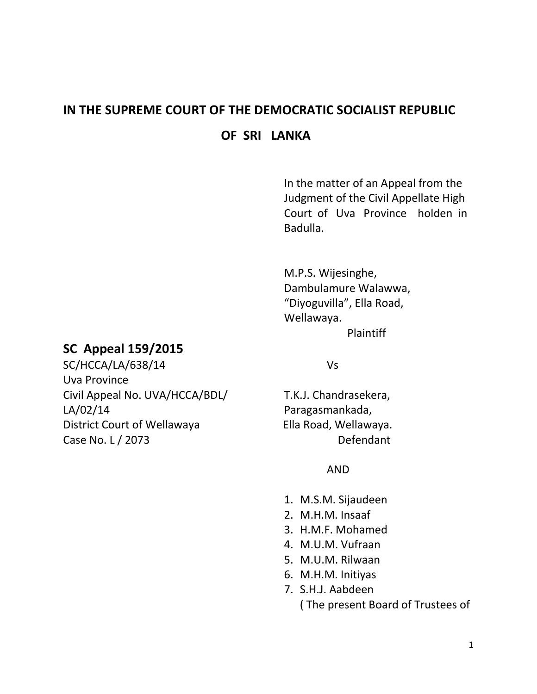# **IN THE SUPREME COURT OF THE DEMOCRATIC SOCIALIST REPUBLIC OF SRI LANKA**

In the matter of an Appeal from the Judgment of the Civil Appellate High Court of Uva Province holden in Badulla.

M.P.S. Wijesinghe, Dambulamure Walawwa, "Diyoguvilla", Ella Road, Wellawaya. Plaintiff

# **SC Appeal 159/2015**

SC/HCCA/LA/638/14 Vs Uva Province Civil Appeal No. UVA/HCCA/BDL/ T.K.J. Chandrasekera, LA/02/14 Paragasmankada, District Court of Wellawaya Ella Road, Wellawaya. Case No. L / 2073 Defendant

### AND

- 1. M.S.M. Sijaudeen
- 2. M.H.M. Insaaf
- 3. H.M.F. Mohamed
- 4. M.U.M. Vufraan
- 5. M.U.M. Rilwaan
- 6. M.H.M. Initiyas
- 7. S.H.J. Aabdeen ( The present Board of Trustees of

1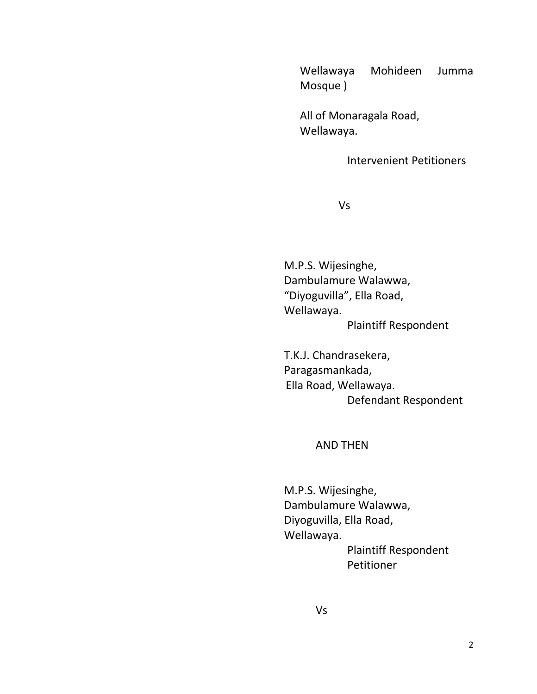Wellawaya Mohideen Jumma Mosque )

All of Monaragala Road, Wellawaya.

Intervenient Petitioners

Vs

M.P.S. Wijesinghe, Dambulamure Walawwa, "Diyoguvilla", Ella Road, Wellawaya. Plaintiff Respondent

T.K.J. Chandrasekera, Paragasmankada, Ella Road, Wellawaya. Defendant Respondent

#### AND THEN

M.P.S. Wijesinghe, Dambulamure Walawwa, Diyoguvilla, Ella Road, Wellawaya. Plaintiff Respondent Petitioner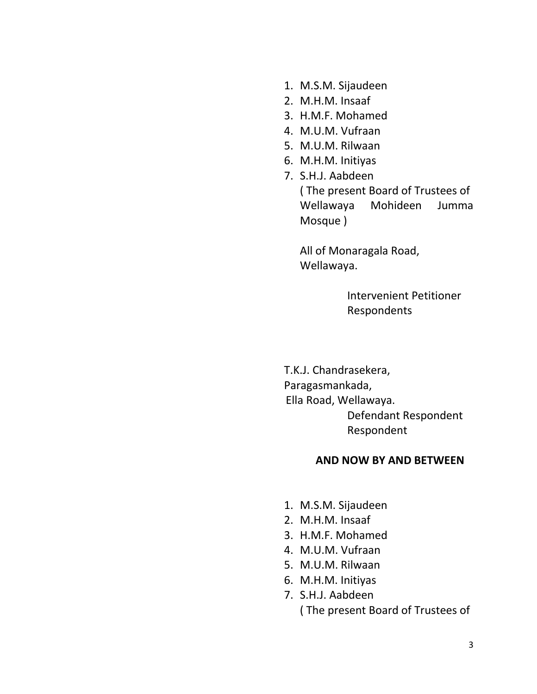- 1. M.S.M. Sijaudeen
- 2. M.H.M. Insaaf
- 3. H.M.F. Mohamed
- 4. M.U.M. Vufraan
- 5. M.U.M. Rilwaan
- 6. M.H.M. Initiyas
- 7. S.H.J. Aabdeen ( The present Board of Trustees of

Wellawaya Mohideen Jumma Mosque )

All of Monaragala Road, Wellawaya.

> Intervenient Petitioner Respondents

T.K.J. Chandrasekera, Paragasmankada, Ella Road, Wellawaya. Defendant Respondent Respondent

#### **AND NOW BY AND BETWEEN**

- 1. M.S.M. Sijaudeen
- 2. M.H.M. Insaaf
- 3. H.M.F. Mohamed
- 4. M.U.M. Vufraan
- 5. M.U.M. Rilwaan
- 6. M.H.M. Initiyas
- 7. S.H.J. Aabdeen ( The present Board of Trustees of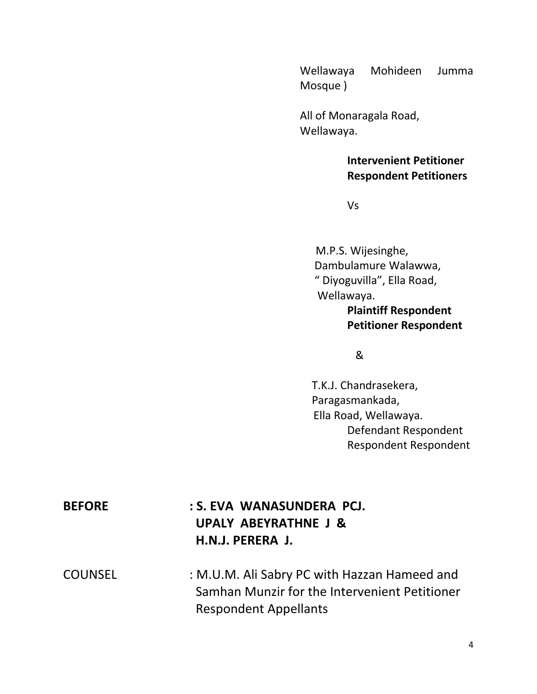Wellawaya Mohideen Jumma Mosque )

All of Monaragala Road, Wellawaya.

> **Intervenient Petitioner Respondent Petitioners**

Vs

M.P.S. Wijesinghe, Dambulamure Walawwa, " Diyoguvilla", Ella Road, Wellawaya. **Plaintiff Respondent Petitioner Respondent**

&

 T.K.J. Chandrasekera, Paragasmankada, Ella Road, Wellawaya. Defendant Respondent Respondent Respondent

| <b>BEFORE</b>               | : S. EVA WANASUNDERA PCJ.         |
|-----------------------------|-----------------------------------|
|                             | UPALY ABEYRATHNE J &              |
|                             | H.N.J. PERERA J.                  |
| $C$ $C$ $H$ $R$ $C$ $F$ $I$ | $.$ MULM ALCobruDC $$ th Ussan Us |

COUNSEL : M.U.M. Ali Sabry PC with Hazzan Hameed and Samhan Munzir for the Intervenient Petitioner Respondent Appellants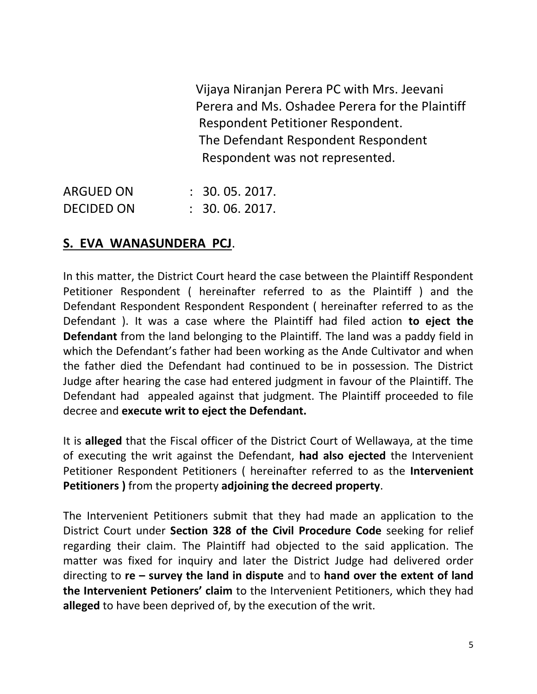Vijaya Niranjan Perera PC with Mrs. Jeevani Perera and Ms. Oshadee Perera for the Plaintiff Respondent Petitioner Respondent. The Defendant Respondent Respondent Respondent was not represented.

ARGUED ON : 30. 05. 2017. DECIDED ON : 30. 06. 2017.

# **S. EVA WANASUNDERA PCJ**.

In this matter, the District Court heard the case between the Plaintiff Respondent Petitioner Respondent ( hereinafter referred to as the Plaintiff ) and the Defendant Respondent Respondent Respondent ( hereinafter referred to as the Defendant ). It was a case where the Plaintiff had filed action **to eject the Defendant** from the land belonging to the Plaintiff. The land was a paddy field in which the Defendant's father had been working as the Ande Cultivator and when the father died the Defendant had continued to be in possession. The District Judge after hearing the case had entered judgment in favour of the Plaintiff. The Defendant had appealed against that judgment. The Plaintiff proceeded to file decree and **execute writ to eject the Defendant.**

It is **alleged** that the Fiscal officer of the District Court of Wellawaya, at the time of executing the writ against the Defendant, **had also ejected** the Intervenient Petitioner Respondent Petitioners ( hereinafter referred to as the **Intervenient Petitioners )** from the property **adjoining the decreed property**.

The Intervenient Petitioners submit that they had made an application to the District Court under **Section 328 of the Civil Procedure Code** seeking for relief regarding their claim. The Plaintiff had objected to the said application. The matter was fixed for inquiry and later the District Judge had delivered order directing to **re – survey the land in dispute** and to **hand over the extent of land the Intervenient Petioners' claim** to the Intervenient Petitioners, which they had **alleged** to have been deprived of, by the execution of the writ.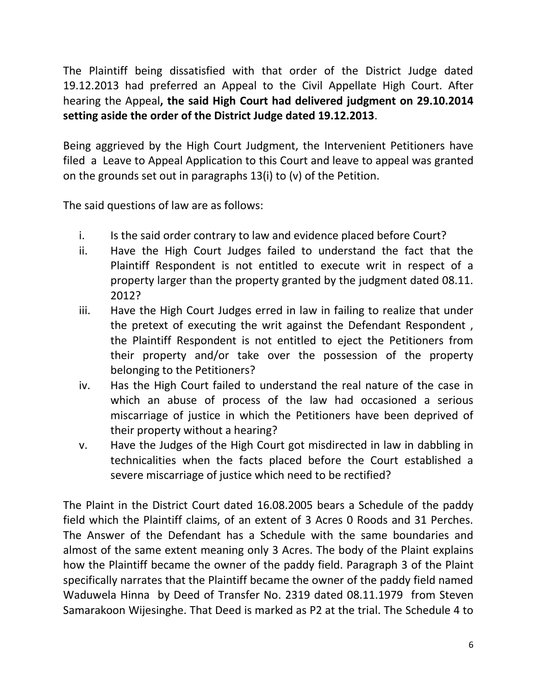The Plaintiff being dissatisfied with that order of the District Judge dated 19.12.2013 had preferred an Appeal to the Civil Appellate High Court. After hearing the Appeal**, the said High Court had delivered judgment on 29.10.2014 setting aside the order of the District Judge dated 19.12.2013**.

Being aggrieved by the High Court Judgment, the Intervenient Petitioners have filed a Leave to Appeal Application to this Court and leave to appeal was granted on the grounds set out in paragraphs 13(i) to (v) of the Petition.

The said questions of law are as follows:

- i. Is the said order contrary to law and evidence placed before Court?
- ii. Have the High Court Judges failed to understand the fact that the Plaintiff Respondent is not entitled to execute writ in respect of a property larger than the property granted by the judgment dated 08.11. 2012?
- iii. Have the High Court Judges erred in law in failing to realize that under the pretext of executing the writ against the Defendant Respondent , the Plaintiff Respondent is not entitled to eject the Petitioners from their property and/or take over the possession of the property belonging to the Petitioners?
- iv. Has the High Court failed to understand the real nature of the case in which an abuse of process of the law had occasioned a serious miscarriage of justice in which the Petitioners have been deprived of their property without a hearing?
- v. Have the Judges of the High Court got misdirected in law in dabbling in technicalities when the facts placed before the Court established a severe miscarriage of justice which need to be rectified?

The Plaint in the District Court dated 16.08.2005 bears a Schedule of the paddy field which the Plaintiff claims, of an extent of 3 Acres 0 Roods and 31 Perches. The Answer of the Defendant has a Schedule with the same boundaries and almost of the same extent meaning only 3 Acres. The body of the Plaint explains how the Plaintiff became the owner of the paddy field. Paragraph 3 of the Plaint specifically narrates that the Plaintiff became the owner of the paddy field named Waduwela Hinna by Deed of Transfer No. 2319 dated 08.11.1979 from Steven Samarakoon Wijesinghe. That Deed is marked as P2 at the trial. The Schedule 4 to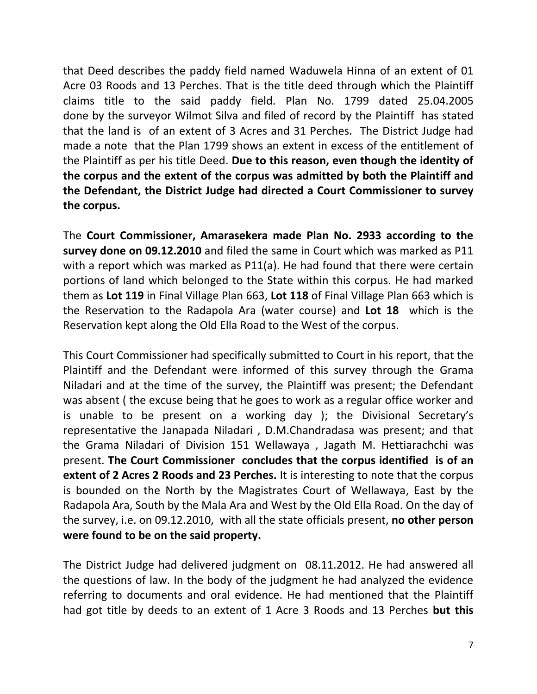that Deed describes the paddy field named Waduwela Hinna of an extent of 01 Acre 03 Roods and 13 Perches. That is the title deed through which the Plaintiff claims title to the said paddy field. Plan No. 1799 dated 25.04.2005 done by the surveyor Wilmot Silva and filed of record by the Plaintiff has stated that the land is of an extent of 3 Acres and 31 Perches. The District Judge had made a note that the Plan 1799 shows an extent in excess of the entitlement of the Plaintiff as per his title Deed. **Due to this reason, even though the identity of the corpus and the extent of the corpus was admitted by both the Plaintiff and the Defendant, the District Judge had directed a Court Commissioner to survey the corpus.** 

The **Court Commissioner, Amarasekera made Plan No. 2933 according to the survey done on 09.12.2010** and filed the same in Court which was marked as P11 with a report which was marked as P11(a). He had found that there were certain portions of land which belonged to the State within this corpus. He had marked them as **Lot 119** in Final Village Plan 663, **Lot 118** of Final Village Plan 663 which is the Reservation to the Radapola Ara (water course) and **Lot 18** which is the Reservation kept along the Old Ella Road to the West of the corpus.

This Court Commissioner had specifically submitted to Court in his report, that the Plaintiff and the Defendant were informed of this survey through the Grama Niladari and at the time of the survey, the Plaintiff was present; the Defendant was absent ( the excuse being that he goes to work as a regular office worker and is unable to be present on a working day ); the Divisional Secretary's representative the Janapada Niladari , D.M.Chandradasa was present; and that the Grama Niladari of Division 151 Wellawaya , Jagath M. Hettiarachchi was present. **The Court Commissioner concludes that the corpus identified is of an extent of 2 Acres 2 Roods and 23 Perches.** It is interesting to note that the corpus is bounded on the North by the Magistrates Court of Wellawaya, East by the Radapola Ara, South by the Mala Ara and West by the Old Ella Road. On the day of the survey, i.e. on 09.12.2010, with all the state officials present, **no other person were found to be on the said property.**

The District Judge had delivered judgment on 08.11.2012. He had answered all the questions of law. In the body of the judgment he had analyzed the evidence referring to documents and oral evidence. He had mentioned that the Plaintiff had got title by deeds to an extent of 1 Acre 3 Roods and 13 Perches **but this**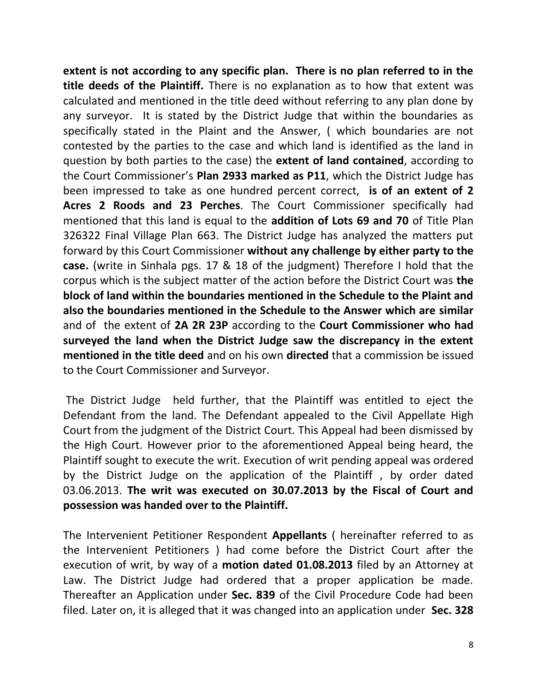**extent is not according to any specific plan. There is no plan referred to in the title deeds of the Plaintiff.** There is no explanation as to how that extent was calculated and mentioned in the title deed without referring to any plan done by any surveyor. It is stated by the District Judge that within the boundaries as specifically stated in the Plaint and the Answer, ( which boundaries are not contested by the parties to the case and which land is identified as the land in question by both parties to the case) the **extent of land contained**, according to the Court Commissioner's **Plan 2933 marked as P11**, which the District Judge has been impressed to take as one hundred percent correct, **is of an extent of 2 Acres 2 Roods and 23 Perches**. The Court Commissioner specifically had mentioned that this land is equal to the **addition of Lots 69 and 70** of Title Plan 326322 Final Village Plan 663. The District Judge has analyzed the matters put forward by this Court Commissioner **without any challenge by either party to the case.** (write in Sinhala pgs. 17 & 18 of the judgment) Therefore I hold that the corpus which is the subject matter of the action before the District Court was **the block of land within the boundaries mentioned in the Schedule to the Plaint and also the boundaries mentioned in the Schedule to the Answer which are similar** and of the extent of **2A 2R 23P** according to the **Court Commissioner who had surveyed the land when the District Judge saw the discrepancy in the extent mentioned in the title deed** and on his own **directed** that a commission be issued to the Court Commissioner and Surveyor.

The District Judge held further, that the Plaintiff was entitled to eject the Defendant from the land. The Defendant appealed to the Civil Appellate High Court from the judgment of the District Court. This Appeal had been dismissed by the High Court. However prior to the aforementioned Appeal being heard, the Plaintiff sought to execute the writ. Execution of writ pending appeal was ordered by the District Judge on the application of the Plaintiff , by order dated 03.06.2013. **The writ was executed on 30.07.2013 by the Fiscal of Court and possession was handed over to the Plaintiff.**

The Intervenient Petitioner Respondent **Appellants** ( hereinafter referred to as the Intervenient Petitioners ) had come before the District Court after the execution of writ, by way of a **motion dated 01.08.2013** filed by an Attorney at Law. The District Judge had ordered that a proper application be made. Thereafter an Application under **Sec. 839** of the Civil Procedure Code had been filed. Later on, it is alleged that it was changed into an application under **Sec. 328**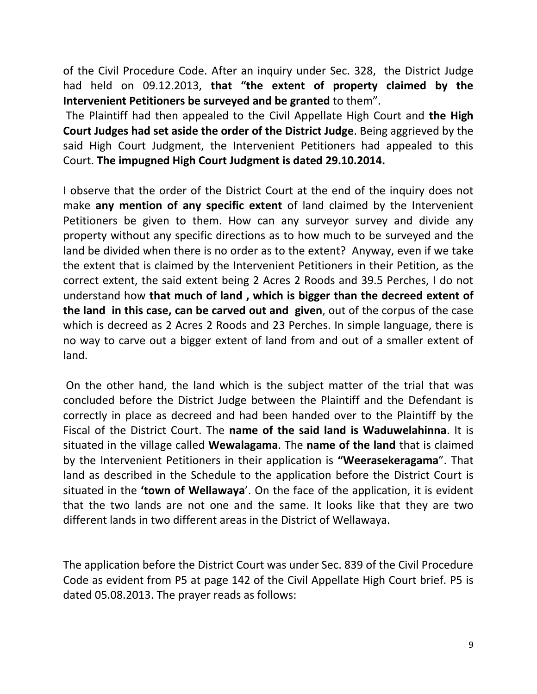of the Civil Procedure Code. After an inquiry under Sec. 328, the District Judge had held on 09.12.2013, **that "the extent of property claimed by the Intervenient Petitioners be surveyed and be granted** to them".

The Plaintiff had then appealed to the Civil Appellate High Court and **the High Court Judges had set aside the order of the District Judge**. Being aggrieved by the said High Court Judgment, the Intervenient Petitioners had appealed to this Court. **The impugned High Court Judgment is dated 29.10.2014.**

I observe that the order of the District Court at the end of the inquiry does not make **any mention of any specific extent** of land claimed by the Intervenient Petitioners be given to them. How can any surveyor survey and divide any property without any specific directions as to how much to be surveyed and the land be divided when there is no order as to the extent? Anyway, even if we take the extent that is claimed by the Intervenient Petitioners in their Petition, as the correct extent, the said extent being 2 Acres 2 Roods and 39.5 Perches, I do not understand how **that much of land , which is bigger than the decreed extent of the land in this case, can be carved out and given**, out of the corpus of the case which is decreed as 2 Acres 2 Roods and 23 Perches. In simple language, there is no way to carve out a bigger extent of land from and out of a smaller extent of land.

On the other hand, the land which is the subject matter of the trial that was concluded before the District Judge between the Plaintiff and the Defendant is correctly in place as decreed and had been handed over to the Plaintiff by the Fiscal of the District Court. The **name of the said land is Waduwelahinna**. It is situated in the village called **Wewalagama**. The **name of the land** that is claimed by the Intervenient Petitioners in their application is **"Weerasekeragama**". That land as described in the Schedule to the application before the District Court is situated in the **'town of Wellawaya**'. On the face of the application, it is evident that the two lands are not one and the same. It looks like that they are two different lands in two different areas in the District of Wellawaya.

The application before the District Court was under Sec. 839 of the Civil Procedure Code as evident from P5 at page 142 of the Civil Appellate High Court brief. P5 is dated 05.08.2013. The prayer reads as follows: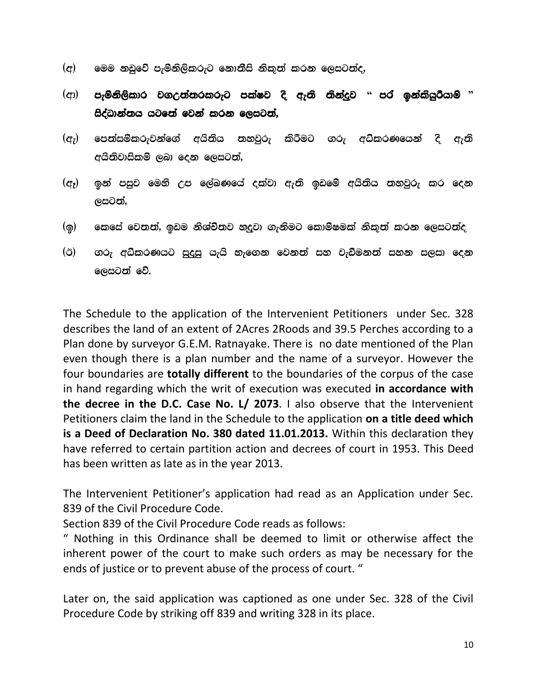- $^{\rm (d)}$   $^{\rm (e)}$  මෙම නඩුවේ පැමිනිලිකරුට නොතීසි නිකුත් කරන ලෙසටත්ද,
- ^wd& meusks,sldr j.W;a;rlreg mlaIj os we;s ;skaoqj **"** mra bkalshqrshdus **"** සිද්ධාන්තය යටතේ වෙන් කරන ලෙසටත්,
- $^{\rm (q}$ ු පෙන්සම්කරුවන්ගේ අයිනිය නහවුරු කිරීමට ගරු අධ්කරණයෙන් දි ඇති අයිතිවාසිකම් ලබා දෙන ලෙසටත්,
- $^{\rm (}$ ලෑ) ඉන් පසුව මෙහි උප ලේඛණයේ දක්වා ඇති ඉඩමේ අයිතිය තහවුරු කර දෙන ලසටත්,
- $\bf q$ ම කෙසේ වෙතත්, ඉඩම නිශ්චිතව හැදුවා ගැනිමට කොම්ෂමක් නිකුත් කරන ලෙසටත්ද
- $\hat{a}(\breve{c})$  . ගරු අධ්කරණයට සුදුසු යැයි හැගෙන වෙනත් සහ වැඩිමනත් සහන සලසා දෙන ලෙසටත් වේ.

The Schedule to the application of the Intervenient Petitioners under Sec. 328 describes the land of an extent of 2Acres 2Roods and 39.5 Perches according to a Plan done by surveyor G.E.M. Ratnayake. There is no date mentioned of the Plan even though there is a plan number and the name of a surveyor. However the four boundaries are **totally different** to the boundaries of the corpus of the case in hand regarding which the writ of execution was executed **in accordance with the decree in the D.C. Case No. L/ 2073**. I also observe that the Intervenient Petitioners claim the land in the Schedule to the application **on a title deed which is a Deed of Declaration No. 380 dated 11.01.2013.** Within this declaration they have referred to certain partition action and decrees of court in 1953. This Deed has been written as late as in the year 2013.

The Intervenient Petitioner's application had read as an Application under Sec. 839 of the Civil Procedure Code.

Section 839 of the Civil Procedure Code reads as follows:

" Nothing in this Ordinance shall be deemed to limit or otherwise affect the inherent power of the court to make such orders as may be necessary for the ends of justice or to prevent abuse of the process of court. "

Later on, the said application was captioned as one under Sec. 328 of the Civil Procedure Code by striking off 839 and writing 328 in its place.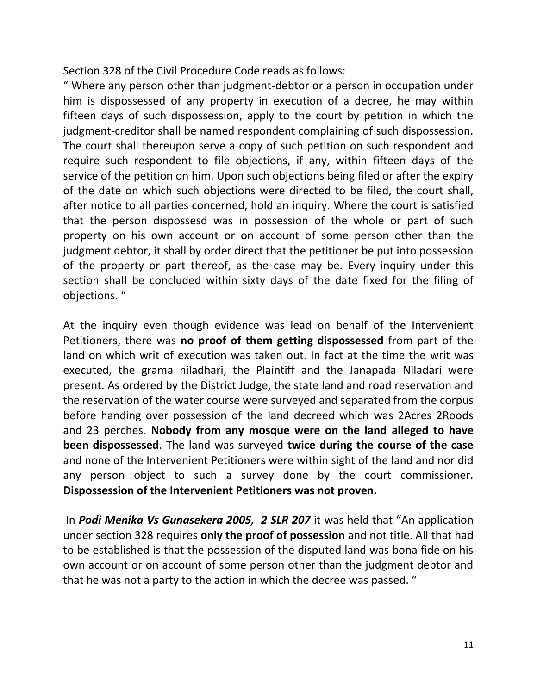Section 328 of the Civil Procedure Code reads as follows:

" Where any person other than judgment-debtor or a person in occupation under him is dispossessed of any property in execution of a decree, he may within fifteen days of such dispossession, apply to the court by petition in which the judgment-creditor shall be named respondent complaining of such dispossession. The court shall thereupon serve a copy of such petition on such respondent and require such respondent to file objections, if any, within fifteen days of the service of the petition on him. Upon such objections being filed or after the expiry of the date on which such objections were directed to be filed, the court shall, after notice to all parties concerned, hold an inquiry. Where the court is satisfied that the person dispossesd was in possession of the whole or part of such property on his own account or on account of some person other than the judgment debtor, it shall by order direct that the petitioner be put into possession of the property or part thereof, as the case may be. Every inquiry under this section shall be concluded within sixty days of the date fixed for the filing of objections. "

At the inquiry even though evidence was lead on behalf of the Intervenient Petitioners, there was **no proof of them getting dispossessed** from part of the land on which writ of execution was taken out. In fact at the time the writ was executed, the grama niladhari, the Plaintiff and the Janapada Niladari were present. As ordered by the District Judge, the state land and road reservation and the reservation of the water course were surveyed and separated from the corpus before handing over possession of the land decreed which was 2Acres 2Roods and 23 perches. **Nobody from any mosque were on the land alleged to have been dispossessed**. The land was surveyed **twice during the course of the case** and none of the Intervenient Petitioners were within sight of the land and nor did any person object to such a survey done by the court commissioner. **Dispossession of the Intervenient Petitioners was not proven.**

In *Podi Menika Vs Gunasekera 2005, 2 SLR 207* it was held that "An application under section 328 requires **only the proof of possession** and not title. All that had to be established is that the possession of the disputed land was bona fide on his own account or on account of some person other than the judgment debtor and that he was not a party to the action in which the decree was passed. "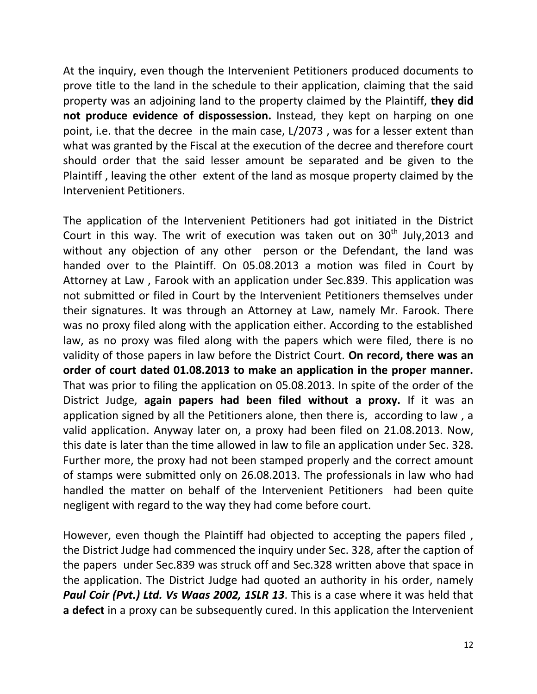At the inquiry, even though the Intervenient Petitioners produced documents to prove title to the land in the schedule to their application, claiming that the said property was an adjoining land to the property claimed by the Plaintiff, **they did not produce evidence of dispossession.** Instead, they kept on harping on one point, i.e. that the decree in the main case, L/2073 , was for a lesser extent than what was granted by the Fiscal at the execution of the decree and therefore court should order that the said lesser amount be separated and be given to the Plaintiff , leaving the other extent of the land as mosque property claimed by the Intervenient Petitioners.

The application of the Intervenient Petitioners had got initiated in the District Court in this way. The writ of execution was taken out on  $30<sup>th</sup>$  July,2013 and without any objection of any other person or the Defendant, the land was handed over to the Plaintiff. On 05.08.2013 a motion was filed in Court by Attorney at Law , Farook with an application under Sec.839. This application was not submitted or filed in Court by the Intervenient Petitioners themselves under their signatures. It was through an Attorney at Law, namely Mr. Farook. There was no proxy filed along with the application either. According to the established law, as no proxy was filed along with the papers which were filed, there is no validity of those papers in law before the District Court. **On record, there was an order of court dated 01.08.2013 to make an application in the proper manner.** That was prior to filing the application on 05.08.2013. In spite of the order of the District Judge, **again papers had been filed without a proxy.** If it was an application signed by all the Petitioners alone, then there is, according to law , a valid application. Anyway later on, a proxy had been filed on 21.08.2013. Now, this date is later than the time allowed in law to file an application under Sec. 328. Further more, the proxy had not been stamped properly and the correct amount of stamps were submitted only on 26.08.2013. The professionals in law who had handled the matter on behalf of the Intervenient Petitioners had been quite negligent with regard to the way they had come before court.

However, even though the Plaintiff had objected to accepting the papers filed , the District Judge had commenced the inquiry under Sec. 328, after the caption of the papers under Sec.839 was struck off and Sec.328 written above that space in the application. The District Judge had quoted an authority in his order, namely *Paul Coir (Pvt.) Ltd. Vs Waas 2002, 1SLR 13*. This is a case where it was held that **a defect** in a proxy can be subsequently cured. In this application the Intervenient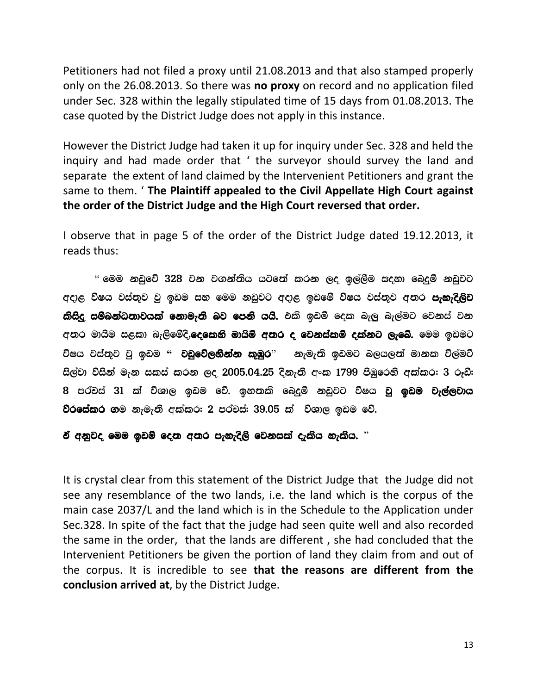Petitioners had not filed a proxy until 21.08.2013 and that also stamped properly only on the 26.08.2013. So there was **no proxy** on record and no application filed under Sec. 328 within the legally stipulated time of 15 days from 01.08.2013. The case quoted by the District Judge does not apply in this instance.

However the District Judge had taken it up for inquiry under Sec. 328 and held the inquiry and had made order that ' the surveyor should survey the land and separate the extent of land claimed by the Intervenient Petitioners and grant the same to them. ' **The Plaintiff appealed to the Civil Appellate High Court against the order of the District Judge and the High Court reversed that order.**

I observe that in page 5 of the order of the District Judge dated 19.12.2013, it reads thus:

 $\degree$  මෙම නඩුවේ  $328$  වන වගන්තිය යටතේ කරන ලද ඉල්ලීම සදහා බෙදුම් නඩුවට අදාළ විෂය වස්තුව වූ ඉඩම සහ මෙම නඩුවට අදාළ ඉඩමේ විෂය වස්තුව අතර **පැහැදිලිව** කිසිදු සම්බන්ධතාවයක් නොමැති බව පෙනි යයි. එකි ඉඩම් දෙක බැලු බැල්මට වෙනස් වන අතර මායිම සළකා බැලිමේදි,**දෙකෙනි මායිම් අතර ද වෙනස්කම් දක්නට ලැබේ.** මෙම ඉඩමට විෂය වස්තුව වු ඉඩම " **වඩුවේලනින්න කුඹුර**" නැමැති ඉඩමට බලයලත් මානක විල්මට් සිල්වා විසින් මැන සකස් කරන ලද 2005.04.25 දිනැති අංක 1799 පිඹුරෙනි අක්කර: 3 රූඩි: 8 පර්චස් 31 ක් විශාල ඉඩම වේ. ඉහතකි බෙදුම් නඩුවට විෂය **වූ ඉඩම වැල්ලවාය** වරසේකර ගම නැමැති අක්කර: 2 පර්චස්: 39.05 ක් විශාල ඉඩම වේ.

ඒ අනුවද මෙම ඉඩම් දෙන අතර පැහැදිලි වෙනසක් දැකිය හැකිය.  $"$ 

It is crystal clear from this statement of the District Judge that the Judge did not see any resemblance of the two lands, i.e. the land which is the corpus of the main case 2037/L and the land which is in the Schedule to the Application under Sec.328. In spite of the fact that the judge had seen quite well and also recorded the same in the order, that the lands are different , she had concluded that the Intervenient Petitioners be given the portion of land they claim from and out of the corpus. It is incredible to see **that the reasons are different from the conclusion arrived at**, by the District Judge.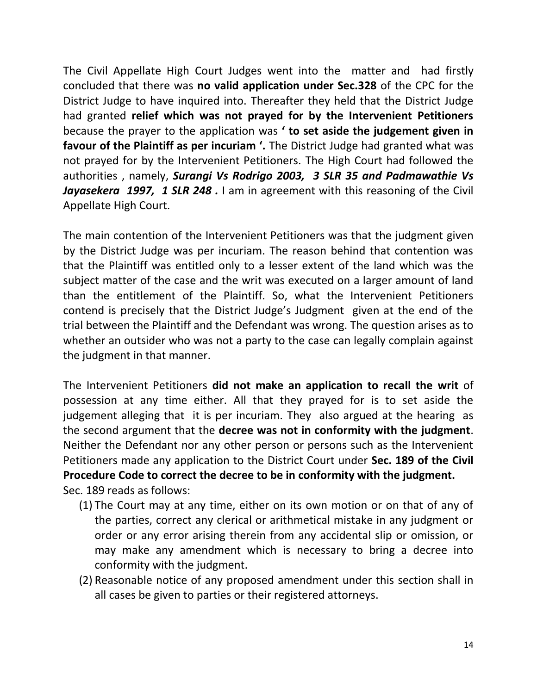The Civil Appellate High Court Judges went into the matter and had firstly concluded that there was **no valid application under Sec.328** of the CPC for the District Judge to have inquired into. Thereafter they held that the District Judge had granted **relief which was not prayed for by the Intervenient Petitioners** because the prayer to the application was **' to set aside the judgement given in favour of the Plaintiff as per incuriam '.** The District Judge had granted what was not prayed for by the Intervenient Petitioners. The High Court had followed the authorities , namely, *Surangi Vs Rodrigo 2003, 3 SLR 35 and Padmawathie Vs Jayasekera 1997, 1 SLR 248 .* I am in agreement with this reasoning of the Civil Appellate High Court.

The main contention of the Intervenient Petitioners was that the judgment given by the District Judge was per incuriam. The reason behind that contention was that the Plaintiff was entitled only to a lesser extent of the land which was the subject matter of the case and the writ was executed on a larger amount of land than the entitlement of the Plaintiff. So, what the Intervenient Petitioners contend is precisely that the District Judge's Judgment given at the end of the trial between the Plaintiff and the Defendant was wrong. The question arises as to whether an outsider who was not a party to the case can legally complain against the judgment in that manner.

The Intervenient Petitioners **did not make an application to recall the writ** of possession at any time either. All that they prayed for is to set aside the judgement alleging that it is per incuriam. They also argued at the hearing as the second argument that the **decree was not in conformity with the judgment**. Neither the Defendant nor any other person or persons such as the Intervenient Petitioners made any application to the District Court under **Sec. 189 of the Civil Procedure Code to correct the decree to be in conformity with the judgment.**  Sec. 189 reads as follows:

- (1) The Court may at any time, either on its own motion or on that of any of the parties, correct any clerical or arithmetical mistake in any judgment or order or any error arising therein from any accidental slip or omission, or may make any amendment which is necessary to bring a decree into conformity with the judgment.
- (2) Reasonable notice of any proposed amendment under this section shall in all cases be given to parties or their registered attorneys.